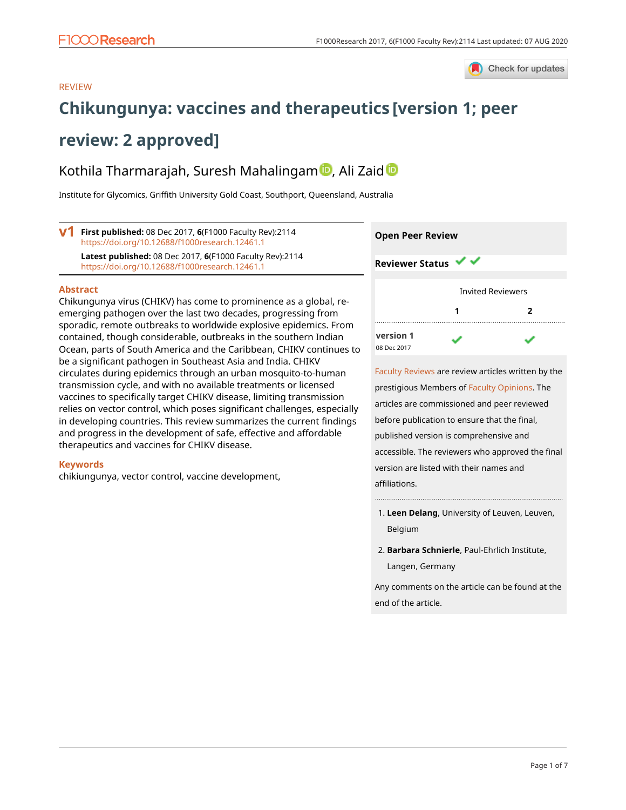

### REVIEW

# **[Chikungunya: vaccines and therapeutics](https://f1000research.com/articles/6-2114/v1) [version 1; peer**

## **review: 2 approved]**

## Kothila Thar[m](https://orcid.org/0000-0003-3141-8410)arajah, Suresh Mahalingam D, Ali Zai[d](https://orcid.org/0000-0002-2528-2783) D

Institute for Glycomics, Griffith University Gold Coast, Southport, Queensland, Australia

**V1** First published: 08 Dec 2017, 6(F1000 Faculty Rev):2114 <https://doi.org/10.12688/f1000research.12461.1> **Latest published:** 08 Dec 2017, **6**(F1000 Faculty Rev):2114 <https://doi.org/10.12688/f1000research.12461.1>

#### **Abstract**

Chikungunya virus (CHIKV) has come to prominence as a global, reemerging pathogen over the last two decades, progressing from sporadic, remote outbreaks to worldwide explosive epidemics. From contained, though considerable, outbreaks in the southern Indian Ocean, parts of South America and the Caribbean, CHIKV continues to be a significant pathogen in Southeast Asia and India. CHIKV circulates during epidemics through an urban mosquito-to-human transmission cycle, and with no available treatments or licensed vaccines to specifically target CHIKV disease, limiting transmission relies on vector control, which poses significant challenges, especially in developing countries. This review summarizes the current findings and progress in the development of safe, effective and affordable therapeutics and vaccines for CHIKV disease.

#### **Keywords**

chikiungunya, vector control, vaccine development,

| <b>Open Peer Review</b> |                          |   |
|-------------------------|--------------------------|---|
| <b>Reviewer Status</b>  |                          |   |
|                         |                          |   |
|                         | <b>Invited Reviewers</b> |   |
|                         |                          | 2 |
|                         |                          |   |
| version 1               |                          |   |
| 08 Dec 2017             |                          |   |

[Faculty Reviews](https://f1000research.com/browse/faculty-reviews) are review articles written by the prestigious Members of [Faculty Opinions.](https://facultyopinions.com/prime/home) The articles are commissioned and peer reviewed before publication to ensure that the final, published version is comprehensive and accessible. The reviewers who approved the final version are listed with their names and affiliations.

- **Leen Delang**, University of Leuven, Leuven, 1. Belgium
- **Barbara Schnierle**, Paul-Ehrlich Institute, 2. Langen, Germany

Any comments on the article can be found at the end of the article.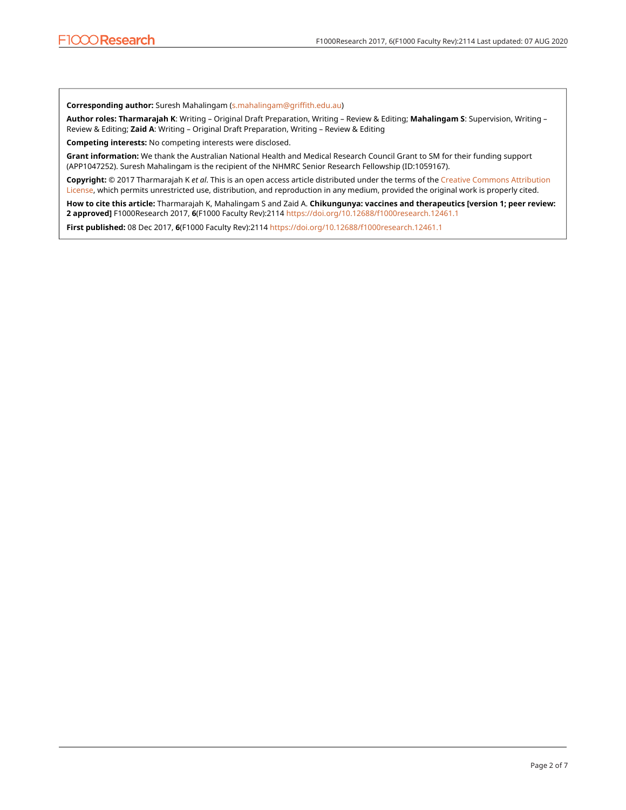**Corresponding author:** Suresh Mahalingam ([s.mahalingam@griffith.edu.au](mailto:s.mahalingam@griffith.edu.au))

**Author roles: Tharmarajah K**: Writing – Original Draft Preparation, Writing – Review & Editing; **Mahalingam S**: Supervision, Writing – Review & Editing; **Zaid A**: Writing – Original Draft Preparation, Writing – Review & Editing

**Competing interests:** No competing interests were disclosed.

**Grant information:** We thank the Australian National Health and Medical Research Council Grant to SM for their funding support (APP1047252). Suresh Mahalingam is the recipient of the NHMRC Senior Research Fellowship (ID:1059167).

**Copyright:** © 2017 Tharmarajah K *et al*. This is an open access article distributed under the terms of the [Creative Commons Attribution](http://creativecommons.org/licenses/by/4.0/)  [License](http://creativecommons.org/licenses/by/4.0/), which permits unrestricted use, distribution, and reproduction in any medium, provided the original work is properly cited.

**How to cite this article:** Tharmarajah K, Mahalingam S and Zaid A. **Chikungunya: vaccines and therapeutics [version 1; peer review: 2 approved]** F1000Research 2017, **6**(F1000 Faculty Rev):2114<https://doi.org/10.12688/f1000research.12461.1>

**First published:** 08 Dec 2017, **6**(F1000 Faculty Rev):2114<https://doi.org/10.12688/f1000research.12461.1>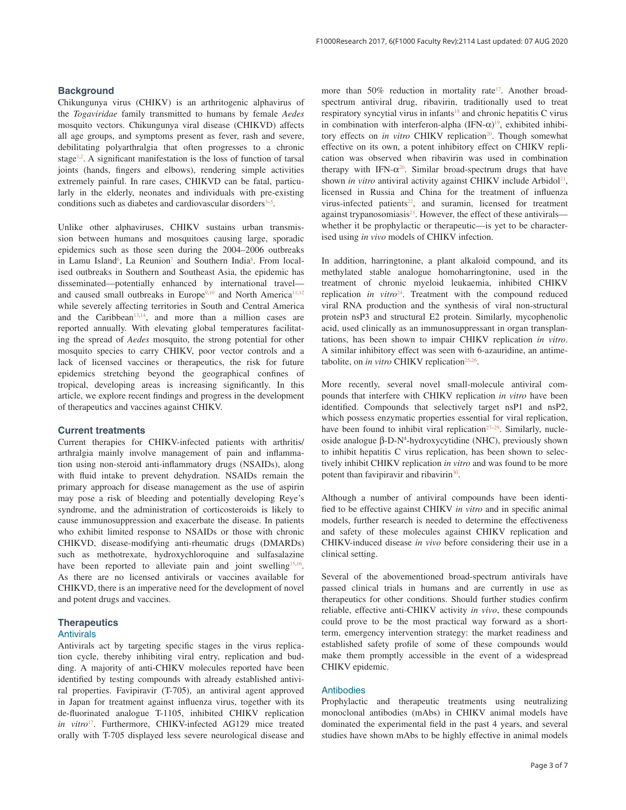#### **Background**

Chikungunya virus (CHIKV) is an arthritogenic alphavirus of the *Togaviridae* family transmitted to humans by female *Aedes* mosquito vectors. Chikungunya viral disease (CHIKVD) affects all age groups, and symptoms present as fever, rash and severe, debilitating polyarthralgia that often progresses to a chronic stage<sup>1,2</sup>. A significant manifestation is the loss of function of tarsal joints (hands, fingers and elbows), rendering simple activities extremely painful. In rare cases, CHIKVD can be fatal, particularly in the elderly, neonates and individuals with pre-existing conditions such as diabetes and cardiovascular disorders<sup>3-5</sup>.

Unlike other alphaviruses, CHIKV sustains urban transmission between humans and mosquitoes causing large, sporadic epidemics such as those seen during the 2004–2006 outbreaks in Lamu Island<sup>6</sup>, La Reunion<sup>7</sup> and Southern India<sup>8</sup>. From localised outbreaks in Southern and Southeast Asia, the epidemic has disseminated—potentially enhanced by international travel and caused small outbreaks in Europe<sup>9,10</sup> and North America<sup>11,12</sup> while severely affecting territories in South and Central America and the Caribbean<sup>13,14</sup>, and more than a million cases are reported annually. With elevating global temperatures facilitating the spread of *Aedes* mosquito, the strong potential for other mosquito species to carry CHIKV, poor vector controls and a lack of licensed vaccines or therapeutics, the risk for future epidemics stretching beyond the geographical confines of tropical, developing areas is increasing significantly. In this article, we explore recent findings and progress in the development of therapeutics and vaccines against CHIKV.

#### **Current treatments**

Current therapies for CHIKV-infected patients with arthritis/ arthralgia mainly involve management of pain and inflammation using non-steroid anti-inflammatory drugs (NSAIDs), along with fluid intake to prevent dehydration. NSAIDs remain the primary approach for disease management as the use of aspirin may pose a risk of bleeding and potentially developing Reye's syndrome, and the administration of corticosteroids is likely to cause immunosuppression and exacerbate the disease. In patients who exhibit limited response to NSAIDs or those with chronic CHIKVD, disease-modifying anti-rheumatic drugs (DMARDs) such as methotrexate, hydroxychloroquine and sulfasalazine have been reported to alleviate pain and joint swelling<sup>15,16</sup>. As there are no licensed antivirals or vaccines available for CHIKVD, there is an imperative need for the development of novel and potent drugs and vaccines.

#### **Therapeutics** Antivirals

Antivirals act by targeting specific stages in the virus replication cycle, thereby inhibiting viral entry, replication and budding. A majority of anti-CHIKV molecules reported have been identified by testing compounds with already established antiviral properties. Favipiravir (T-705), an antiviral agent approved in Japan for treatment against influenza virus, together with its de-fluorinated analogue T-1105, inhibited CHIKV replication *in vitro*<sup>17</sup>. Furthermore, CHIKV-infected AG129 mice treated orally with T-705 displayed less severe neurological disease and more than  $50\%$  reduction in mortality rate<sup>17</sup>. Another broadspectrum antiviral drug, ribavirin, traditionally used to treat respiratory syncytial virus in infants<sup>18</sup> and chronic hepatitis C virus in combination with interferon-alpha  $(IFN-\alpha)^{19}$ , exhibited inhibitory effects on *in vitro* CHIKV replication<sup>20</sup>. Though somewhat effective on its own, a potent inhibitory effect on CHIKV replication was observed when ribavirin was used in combination therapy with IFN- $\alpha^{20}$ . Similar broad-spectrum drugs that have shown *in vitro* antiviral activity against CHIKV include Arbidol<sup>21</sup>, licensed in Russia and China for the treatment of influenza virus-infected patients $22$ , and suramin, licensed for treatment against trypanosomiasis<sup>23</sup>. However, the effect of these antivirals whether it be prophylactic or therapeutic—is yet to be characterised using *in vivo* models of CHIKV infection.

In addition, harringtonine, a plant alkaloid compound, and its methylated stable analogue homoharringtonine, used in the treatment of chronic myeloid leukaemia, inhibited CHIKV replication *in vitro*<sup>24</sup>. Treatment with the compound reduced viral RNA production and the synthesis of viral non-structural protein nsP3 and structural E2 protein. Similarly, mycophenolic acid, used clinically as an immunosuppressant in organ transplantations, has been shown to impair CHIKV replication *in vitro*. A similar inhibitory effect was seen with 6-azauridine, an antimetabolite, on *in vitro* CHIKV replication<sup>25,26</sup>.

More recently, several novel small-molecule antiviral compounds that interfere with CHIKV replication *in vitro* have been identified. Compounds that selectively target nsP1 and nsP2, which possess enzymatic properties essential for viral replication, have been found to inhibit viral replication $27-29$ . Similarly, nucleoside analogue β-D-N<sup>4</sup> -hydroxycytidine (NHC), previously shown to inhibit hepatitis C virus replication, has been shown to selectively inhibit CHIKV replication *in vitro* and was found to be more potent than favipiravir and ribavirin<sup>30</sup>.

Although a number of antiviral compounds have been identified to be effective against CHIKV *in vitro* and in specific animal models, further research is needed to determine the effectiveness and safety of these molecules against CHIKV replication and CHIKV-induced disease *in vivo* before considering their use in a clinical setting.

Several of the abovementioned broad-spectrum antivirals have passed clinical trials in humans and are currently in use as therapeutics for other conditions. Should further studies confirm reliable, effective anti-CHIKV activity *in vivo*, these compounds could prove to be the most practical way forward as a shortterm, emergency intervention strategy: the market readiness and established safety profile of some of these compounds would make them promptly accessible in the event of a widespread CHIKV epidemic.

#### Antibodies

Prophylactic and therapeutic treatments using neutralizing monoclonal antibodies (mAbs) in CHIKV animal models have dominated the experimental field in the past 4 years, and several studies have shown mAbs to be highly effective in animal models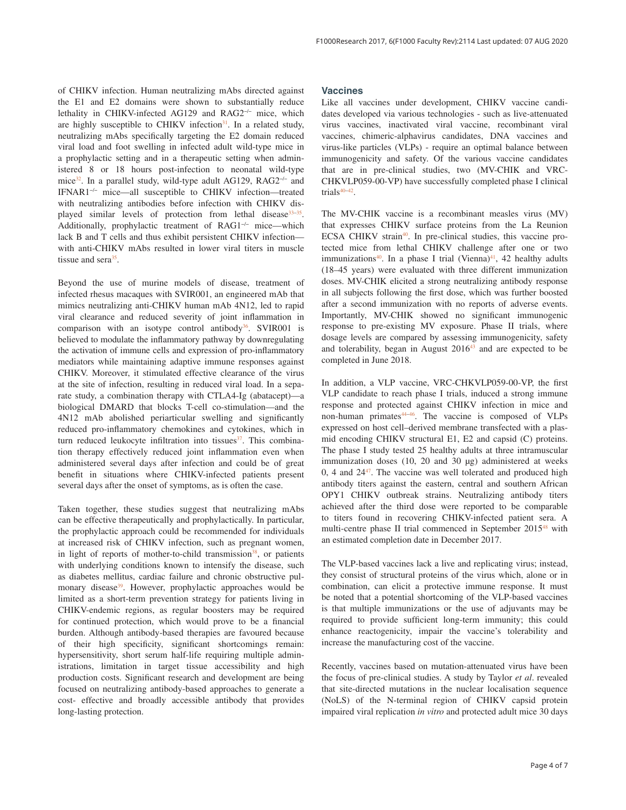of CHIKV infection. Human neutralizing mAbs directed against the E1 and E2 domains were shown to substantially reduce lethality in CHIKV-infected AG129 and RAG2−/− mice, which are highly susceptible to CHIKV infection<sup>31</sup>. In a related study, neutralizing mAbs specifically targeting the E2 domain reduced viral load and foot swelling in infected adult wild-type mice in a prophylactic setting and in a therapeutic setting when administered 8 or 18 hours post-infection to neonatal wild-type mice<sup>32</sup>. In a parallel study, wild-type adult AG129, RAG2−/− and IFNAR1−/− mice—all susceptible to CHIKV infection—treated with neutralizing antibodies before infection with CHIKV displayed similar levels of protection from lethal disease<sup>33–35</sup>. Additionally, prophylactic treatment of RAG1−/− mice—which lack B and T cells and thus exhibit persistent CHIKV infection with anti-CHIKV mAbs resulted in lower viral titers in muscle tissue and sera<sup>35</sup>.

Beyond the use of murine models of disease, treatment of infected rhesus macaques with SVIR001, an engineered mAb that mimics neutralizing anti-CHIKV human mAb 4N12, led to rapid viral clearance and reduced severity of joint inflammation in comparison with an isotype control antibody $36$ . SVIR001 is believed to modulate the inflammatory pathway by downregulating the activation of immune cells and expression of pro-inflammatory mediators while maintaining adaptive immune responses against CHIKV. Moreover, it stimulated effective clearance of the virus at the site of infection, resulting in reduced viral load. In a separate study, a combination therapy with CTLA4-Ig (abatacept)—a biological DMARD that blocks T-cell co-stimulation—and the 4N12 mAb abolished periarticular swelling and significantly reduced pro-inflammatory chemokines and cytokines, which in turn reduced leukocyte infiltration into tissues $37$ . This combination therapy effectively reduced joint inflammation even when administered several days after infection and could be of great benefit in situations where CHIKV-infected patients present several days after the onset of symptoms, as is often the case.

Taken together, these studies suggest that neutralizing mAbs can be effective therapeutically and prophylactically. In particular, the prophylactic approach could be recommended for individuals at increased risk of CHIKV infection, such as pregnant women, in light of reports of mother-to-child transmission<sup>38</sup>, or patients with underlying conditions known to intensify the disease, such as diabetes mellitus, cardiac failure and chronic obstructive pulmonary disease<sup>39</sup>. However, prophylactic approaches would be limited as a short-term prevention strategy for patients living in CHIKV-endemic regions, as regular boosters may be required for continued protection, which would prove to be a financial burden. Although antibody-based therapies are favoured because of their high specificity, significant shortcomings remain: hypersensitivity, short serum half-life requiring multiple administrations, limitation in target tissue accessibility and high production costs. Significant research and development are being focused on neutralizing antibody-based approaches to generate a cost- effective and broadly accessible antibody that provides long-lasting protection.

#### **Vaccines**

Like all vaccines under development, CHIKV vaccine candidates developed via various technologies - such as live-attenuated virus vaccines, inactivated viral vaccine, recombinant viral vaccines, chimeric-alphavirus candidates, DNA vaccines and virus-like particles (VLPs) - require an optimal balance between immunogenicity and safety. Of the various vaccine candidates that are in pre-clinical studies, two (MV-CHIK and VRC-CHKVLP059-00-VP) have successfully completed phase I clinical trials $40-42$ .

The MV-CHIK vaccine is a recombinant measles virus (MV) that expresses CHIKV surface proteins from the La Reunion ECSA CHIKV strain<sup>40</sup>. In pre-clinical studies, this vaccine protected mice from lethal CHIKV challenge after one or two immunizations<sup>40</sup>. In a phase I trial (Vienna)<sup>41</sup>, 42 healthy adults (18–45 years) were evaluated with three different immunization doses. MV-CHIK elicited a strong neutralizing antibody response in all subjects following the first dose, which was further boosted after a second immunization with no reports of adverse events. Importantly, MV-CHIK showed no significant immunogenic response to pre-existing MV exposure. Phase II trials, where dosage levels are compared by assessing immunogenicity, safety and tolerability, began in August 2016<sup>43</sup> and are expected to be completed in June 2018.

In addition, a VLP vaccine, VRC-CHKVLP059-00-VP, the first VLP candidate to reach phase I trials, induced a strong immune response and protected against CHIKV infection in mice and non-human primates<sup>44-46</sup>. The vaccine is composed of VLPs expressed on host cell–derived membrane transfected with a plasmid encoding CHIKV structural E1, E2 and capsid (C) proteins. The phase I study tested 25 healthy adults at three intramuscular immunization doses (10, 20 and 30 µg) administered at weeks  $0, 4$  and  $24^{47}$ . The vaccine was well tolerated and produced high antibody titers against the eastern, central and southern African OPY1 CHIKV outbreak strains. Neutralizing antibody titers achieved after the third dose were reported to be comparable to titers found in recovering CHIKV-infected patient sera. A multi-centre phase II trial commenced in September 2015<sup>48</sup> with an estimated completion date in December 2017.

The VLP-based vaccines lack a live and replicating virus; instead, they consist of structural proteins of the virus which, alone or in combination, can elicit a protective immune response. It must be noted that a potential shortcoming of the VLP-based vaccines is that multiple immunizations or the use of adjuvants may be required to provide sufficient long-term immunity; this could enhance reactogenicity, impair the vaccine's tolerability and increase the manufacturing cost of the vaccine.

Recently, vaccines based on mutation-attenuated virus have been the focus of pre-clinical studies. A study by Taylor *et al*. revealed that site-directed mutations in the nuclear localisation sequence (NoLS) of the N-terminal region of CHIKV capsid protein impaired viral replication *in vitro* and protected adult mice 30 days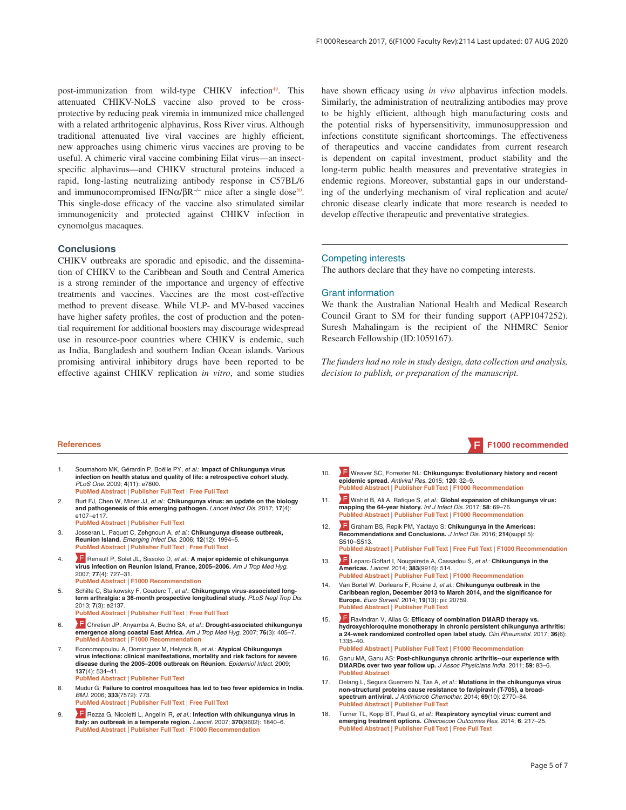post-immunization from wild-type CHIKV infection<sup>49</sup>. This attenuated CHIKV-NoLS vaccine also proved to be crossprotective by reducing peak viremia in immunized mice challenged with a related arthritogenic alphavirus, Ross River virus. Although traditional attenuated live viral vaccines are highly efficient, new approaches using chimeric virus vaccines are proving to be useful. A chimeric viral vaccine combining Eilat virus—an insectspecific alphavirus—and CHIKV structural proteins induced a rapid, long-lasting neutralizing antibody response in C57BL/6 and immunocompromised IFN $\alpha$ / $\beta$ R<sup>-/-</sup> mice after a single dose<sup>50</sup>. This single-dose efficacy of the vaccine also stimulated similar immunogenicity and protected against CHIKV infection in cynomolgus macaques.

#### **Conclusions**

CHIKV outbreaks are sporadic and episodic, and the dissemination of CHIKV to the Caribbean and South and Central America is a strong reminder of the importance and urgency of effective treatments and vaccines. Vaccines are the most cost-effective method to prevent disease. While VLP- and MV-based vaccines have higher safety profiles, the cost of production and the potential requirement for additional boosters may discourage widespread use in resource-poor countries where CHIKV is endemic, such as India, Bangladesh and southern Indian Ocean islands. Various promising antiviral inhibitory drugs have been reported to be effective against CHIKV replication *in vitro*, and some studies

have shown efficacy using *in vivo* alphavirus infection models. Similarly, the administration of neutralizing antibodies may prove to be highly efficient, although high manufacturing costs and the potential risks of hypersensitivity, immunosuppression and infections constitute significant shortcomings. The effectiveness of therapeutics and vaccine candidates from current research is dependent on capital investment, product stability and the long-term public health measures and preventative strategies in endemic regions. Moreover, substantial gaps in our understanding of the underlying mechanism of viral replication and acute/ chronic disease clearly indicate that more research is needed to develop effective therapeutic and preventative strategies.

#### Competing interests

The authors declare that they have no competing interests.

#### Grant information

We thank the Australian National Health and Medical Research Council Grant to SM for their funding support (APP1047252). Suresh Mahalingam is the recipient of the NHMRC Senior Research Fellowship (ID:1059167).

*The funders had no role in study design, data collection and analysis, decision to publish, or preparation of the manuscript.*

#### **References F1000 recommended**

- 1. Soumahoro MK, Gérardin P, Boëlle PY, et al.: **Impact of Chikungunya virus infection on health status and quality of life: a retrospective cohort study.** PLoS One. 2009; **4**(11): e7800. **PubMed Abstract** | **Publisher Full Text** | **Free Full Text**
- Burt FJ, Chen W, Miner JJ, et al.: Chikungunya virus: an update on the biology **and pathogenesis of this emerging pathogen.** Lancet Infect Dis. 2017; **17**(4): e107–e117.
- **PubMed Abstract** | **Publisher Full Text**  3. Josseran L, Paquet C, Zehgnoun A, et al.: **Chikungunya disease outbreak, Reunion Island.** Emerging Infect Dis. 2006; **12**(12): 1994–5.
- **PubMed Abstract** | **Publisher Full Text** | **Free Full Text**  4. Renault P, Solet JL, Sissoko D, et al.: **A major epidemic of chikungunya virus infection on Reunion Island, France, 2005–2006.** Am J Trop Med Hyg. 2007; **77**(4): 727–31.
	- **PubMed Abstract** |  **F1000 Recommendation**
- Schilte C, Staikowsky F, Couderc T, et al.: Chikungunya virus-associated long**term arthralgia: a 36-month prospective longitudinal study.** PLoS Negl Trop Dis. 2013; **7**(3): e2137. **PubMed Abstract** | **Publisher Full Text** | **Free Full Text**
- 6. Chretien JP, Anyamba A, Bedno SA, et al.: **Drought-associated chikungunya emergence along coastal East Africa.** Am J Trop Med Hyg. 2007; **76**(3): 405–7. **PubMed Abstract** |  **F1000 Recommendation**
- 7. Economopoulou A, Dominguez M, Helynck B, et al.: **Atypical Chikungunya virus infections: clinical manifestations, mortality and risk factors for severe disease during the 2005–2006 outbreak on Réunion.** Epidemiol Infect. 2009; **137**(4): 534–41.
	- **PubMed Abstract** | **Publisher Full Text**
- 8. Mudur G: **Failure to control mosquitoes has led to two fever epidemics in India.** BMJ. 2006; **333**(7572): 773. **PubMed Abstract** | **Publisher Full Text** | **Free Full Text**
- 9. Rezza G, Nicoletti L, Angelini R, et al.: **Infection with chikungunya virus in Italy: an outbreak in a temperate region.** Lancet. 2007; **370**(9602): 1840–6. **PubMed Abstract** | **Publisher Full Text** |  **F1000 Recommendation**
- 10. Weaver SC, Forrester NL: **Chikungunya: Evolutionary history and recent epidemic spread.** Antiviral Res. 2015; **120**: 32–9. **PubMed Abstract** | **Publisher Full Text** |  **F1000 Recommendation**
- 11. Wahid B, Ali A, Rafique S, et al.: **Global expansion of chikungunya virus: mapping the 64-year history.** Int J Infect Dis. 2017; **58**: 69–76. **PubMed Abstract** | **Publisher Full Text** |  **F1000 Recommendation**
- 12. Graham BS, Repik PM, Yactayo S: **Chikungunya in the Americas: Recommendations and Conclusions.** J Infect Dis. 2016; **214**(suppl 5): S510–S513.
	- **PubMed Abstract** | **Publisher Full Text** | **Free Full Text** |  **F1000 Recommendation**
- 13. Leparc-Goffart I, Nougairede A, Cassadou S, et al.: **Chikungunya in the Americas.** Lancet. 2014; **383**(9916): 514. **PubMed Abstract** | **Publisher Full Text** |  **F1000 Recommendation**
- 14. Van Bortel W, Dorleans F, Rosine J, et al.: **Chikungunya outbreak in the Caribbean region, December 2013 to March 2014, and the significance for Europe.** Euro Surveill. 2014; **19**(13): pii: 20759. **PubMed Abstract** | **Publisher Full Text**
- 15. Ravindran V, Alias G: **Efficacy of combination DMARD therapy vs. hydroxychloroquine monotherapy in chronic persistent chikungunya arthritis: a 24-week randomized controlled open label study.** Clin Rheumatol. 2017; **36**(6): 1335–40.
- **PubMed Abstract** | **Publisher Full Text** |  **F1000 Recommendation**  16. Ganu MA, Ganu AS: **Post-chikungunya chronic arthritis--our experience with DMARDs over two year follow up.** J Assoc Physicians India. 2011; **59**: 83–6. **PubMed Abstract**
- 17. Delang L, Segura Guerrero N, Tas A, et al.: **Mutations in the chikungunya virus non-structural proteins cause resistance to favipiravir (T-705), a broadspectrum antiviral.** J Antimicrob Chemother. 2014; **69**(10): 2770–84. **PubMed Abstract** | **Publisher Full Text**
- 18. Turner TL, Kopp BT, Paul G, et al.: **Respiratory syncytial virus: current and emerging treatment options.** Clinicoecon Outcomes Res. 2014; **6**: 217–25. **PubMed Abstract** | **Publisher Full Text** | **Free Full Text**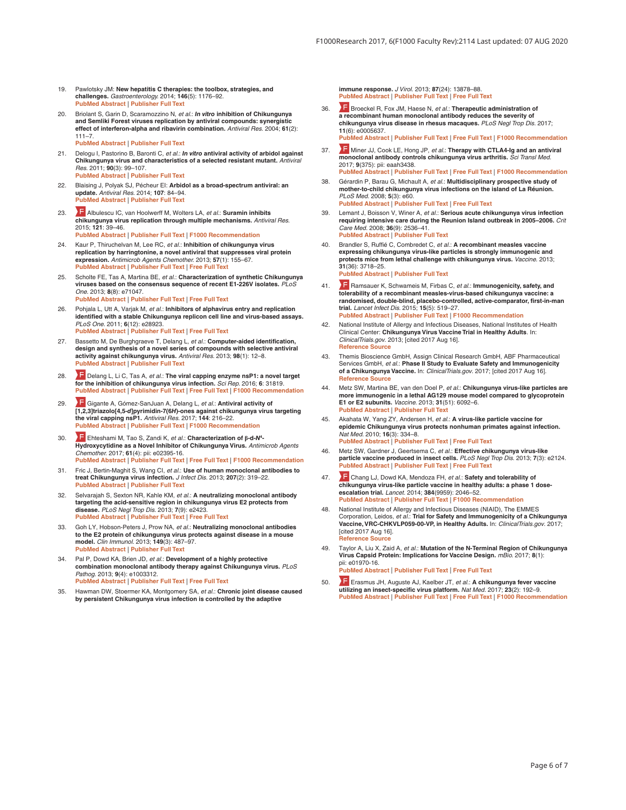- 19. Pawlotsky JM: **New hepatitis C therapies: the toolbox, strategies, and challenges.** Gastroenterology. 2014; **146**(5): 1176–92. **PubMed Abstract** | **Publisher Full Text**
- 20. Briolant S, Garin D, Scaramozzino N, et al.: *In vitro* **inhibition of Chikungunya and Semliki Forest viruses replication by antiviral compounds: synergistic effect of interferon-alpha and ribavirin combination.** Antiviral Res. 2004; **61**(2): 111–7.

**PubMed Abstract** | **Publisher Full Text** 

- 21. Delogu I, Pastorino B, Baronti C, et al.: *In vitro* **antiviral activity of arbidol against Chikungunya virus and characteristics of a selected resistant mutant.** Antiviral Res. 2011; **90**(3): 99–107. **PubMed Abstract** | **Publisher Full Text**
- 22. Blaising J, Polyak SJ, Pécheur EI: **Arbidol as a broad-spectrum antiviral: an update.** Antiviral Res. 2014; **107**: 84–94. **PubMed Abstract** | **Publisher Full Text**
- 23. Albulescu IC, van Hoolwerff M, Wolters LA, et al.: **Suramin inhibits chikungunya virus replication through multiple mechanisms.** Antiviral Res. 2015; **121**: 39–46.
	- **PubMed Abstract** | **Publisher Full Text** |  **F1000 Recommendation**
- 24. Kaur P, Thiruchelvan M, Lee RC, et al.: **Inhibition of chikungunya virus replication by harringtonine, a novel antiviral that suppresses viral protein expression.** Antimicrob Agents Chemother. 2013; **57**(1): 155–67. **PubMed Abstract** | **Publisher Full Text** | **Free Full Text**
- 25. Scholte FE, Tas A, Martina BE, et al.: **Characterization of synthetic Chikungunya viruses based on the consensus sequence of recent E1-226V isolates.** PLoS One. 2013; **8**(8): e71047. **PubMed Abstract** | **Publisher Full Text** | **Free Full Text**
- 26. Pohjala L, Utt A, Varjak M, et al.: **Inhibitors of alphavirus entry and replication identified with a stable Chikungunya replicon cell line and virus-based assays.** PLoS One. 2011; **6**(12): e28923. **PubMed Abstract** | **Publisher Full Text** | **Free Full Text**
- 27. Bassetto M, De Burghgraeve T, Delang L, et al.: **Computer-aided identification, design and synthesis of a novel series of compounds with selective antiviral activity against chikungunya virus.** Antiviral Res. 2013; **98**(1): 12–8. **PubMed Abstract** | **Publisher Full Text**
- 28. **F** Delang L, Li C, Tas A, et al.: The viral capping enzyme nsP1: a novel target **for the inhibition of chikungunya virus infection.** Sci Rep. 2016; **6**: 31819. **PubMed Abstract** | **Publisher Full Text** | **Free Full Text** |  **F1000 Recommendation**
- 29. F Gigante A, Gómez-SanJuan A, Delang L, et al.: **Antiviral activity of [1,2,3]triazolo[4,5-***d***]pyrimidin-7(6***H***)-ones against chikungunya virus targeting the viral capping nsP1.** Antiviral Res. 2017; **144**: 216–22. **PubMed Abstract** | **Publisher Full Text** |  **F1000 Recommendation**
- 30. Ehteshami M, Tao S, Zandi K, et al.: **Characterization of β-d-***N***<sup>4</sup> - Hydroxycytidine as a Novel Inhibitor of Chikungunya Virus.** Antimicrob Agents Chemother. 2017; **61**(4): pii: e02395-16. **PubMed Abstract** | **Publisher Full Text** | **Free Full Text** |  **F1000 Recommendation**
- 31. Fric J, Bertin-Maghit S, Wang CI, et al.: **Use of human monoclonal antibodies to treat Chikungunya virus infection.** J Infect Dis. 2013; **207**(2): 319–22. **PubMed Abstract** | **Publisher Full Text**
- 32. Selvarajah S, Sexton NR, Kahle KM, et al.: **A neutralizing monoclonal antibody targeting the acid-sensitive region in chikungunya virus E2 protects from disease.** PLoS Negl Trop Dis. 2013; **7**(9): e2423. **PubMed Abstract** | **Publisher Full Text** | **Free Full Text**
- 33. Goh LY, Hobson-Peters J, Prow NA, et al.: **Neutralizing monoclonal antibodies to the E2 protein of chikungunya virus protects against disease in a mouse model.** Clin Immunol. 2013; **149**(3): 487–97. **PubMed Abstract** | **Publisher Full Text**
- 34. Pal P, Dowd KA, Brien JD, et al.: **Development of a highly protective combination monoclonal antibody therapy against Chikungunya virus.** PLoS Pathog. 2013; **9**(4): e1003312. **PubMed Abstract** | **Publisher Full Text** | **Free Full Text**
- 35. Hawman DW, Stoermer KA, Montgomery SA, et al.: **Chronic joint disease caused by persistent Chikungunya virus infection is controlled by the adaptive**

**immune response.** J Virol. 2013; **87**(24): 13878–88. **PubMed Abstract** | **Publisher Full Text** | **Free Full Text** 

- 36. Broeckel R, Fox JM, Haese N, et al.: **Therapeutic administration of a recombinant human monoclonal antibody reduces the severity of chikungunya virus disease in rhesus macaques.** PLoS Negl Trop Dis. 2017; **11**(6): e0005637. **PubMed Abstract** | **Publisher Full Text** | **Free Full Text** |  **F1000 Recommendation**
- 37. **The Miner JJ, Cook LE, Hong JP,** *et al.***: Therapy with CTLA4-Ig and an antiviral** *monoclonal antibody controls chikungunya virus arthritis. Sci Transl Med.* 2017; **9**(375): pii: eaah3438. **PubMed Abstract** | **Publisher Full Text** | **Free Full Text** |  **F1000 Recommendation**
- 38. Gérardin P, Barau G, Michault A, et al.: **Multidisciplinary prospective study of mother-to-child chikungunya virus infections on the island of La Réunion.** PLoS Med. 2008; **5**(3): e60. **PubMed Abstract** | **Publisher Full Text** | **Free Full Text**
- Lemant J, Boisson V, Winer A, et al.: Serious acute chikungunya virus infection **requiring intensive care during the Reunion Island outbreak in 2005–2006.** Crit Care Med. 2008; **36**(9): 2536–41. **PubMed Abstract** | **Publisher Full Text**
- 40. Brandler S, Ruffié C, Combredet C, et al.: **A recombinant measles vaccine expressing chikungunya virus-like particles is strongly immunogenic and protects mice from lethal challenge with chikungunya virus.** Vaccine. 2013; **31**(36): 3718–25. **PubMed Abstract** | **Publisher Full Text**
- 41. Ramsauer K, Schwameis M, Firbas C, et al.: **Immunogenicity, safety, and tolerability of a recombinant measles-virus-based chikungunya vaccine: a randomised, double-blind, placebo-controlled, active-comparator, first-in-man trial.** Lancet Infect Dis. 2015; **15**(5): 519–27. **PubMed Abstract** | **Publisher Full Text** |  **F1000 Recommendation**
- 42. National Institute of Allergy and Infectious Diseases, National Institutes of Health Clinical Center: **Chikungunya Virus Vaccine Trial in Healthy Adults**. In: ClinicalTrials.gov. 2013; [cited 2017 Aug 16]. **Reference Source**
- 43. Themis Bioscience GmbH, Assign Clinical Research GmbH, ABF Pharmaceutical Services GmbH, et al.: **Phase II Study to Evaluate Safety and Immunogenicity of a Chikungunya Vaccine.** In: ClinicalTrials.gov. 2017; [cited 2017 Aug 16]. **Reference Source**
- 44. Metz SW, Martina BE, van den Doel P, et al.: **Chikungunya virus-like particles are more immunogenic in a lethal AG129 mouse model compared to glycoprotein E1 or E2 subunits.** Vaccine. 2013; **31**(51): 6092–6. **PubMed Abstract** | **Publisher Full Text**
- 45. Akahata W, Yang ZY, Andersen H, et al.: **A virus-like particle vaccine for epidemic Chikungunya virus protects nonhuman primates against infection.** Nat Med. 2010; **16**(3): 334–8. **PubMed Abstract** | **Publisher Full Text** | **Free Full Text**
- 46. Metz SW, Gardner J, Geertsema C, et al.: **Effective chikungunya virus-like particle vaccine produced in insect cells.** PLoS Negl Trop Dis. 2013; **7**(3): e2124. **PubMed Abstract** | **Publisher Full Text** | **Free Full Text**
- 47. Chang LJ, Dowd KA, Mendoza FH, et al.: **Safety and tolerability of chikungunya virus-like particle vaccine in healthy adults: a phase 1 doseescalation trial.** Lancet. 2014; **384**(9959): 2046–52. **PubMed Abstract** | **Publisher Full Text** |  **F1000 Recommendation**
- 48. National Institute of Allergy and Infectious Diseases (NIAID), The EMMES Corporation, Leidos, et al.: **Trial for Safety and Immunogenicity of a Chikungunya Vaccine, VRC-CHKVLP059-00-VP, in Healthy Adults.** In: ClinicalTrials.gov. 2017; [cited 2017 Aug 16]. **Reference Source**
- 49. Taylor A, Liu X, Zaid A, et al.: **Mutation of the N-Terminal Region of Chikungunya Virus Capsid Protein: Implications for Vaccine Design.** mBio. 2017; **8**(1): pii: e01970-16. **PubMed Abstract** | **Publisher Full Text** | **Free Full Text**

50. Erasmus JH, Auguste AJ, Kaelber JT, et al.: **A chikungunya fever vaccine utilizing an insect-specific virus platform.** Nat Med. 2017; **23**(2): 192–9. **PubMed Abstract** | **Publisher Full Text** | **Free Full Text** |  **F1000 Recommendation**